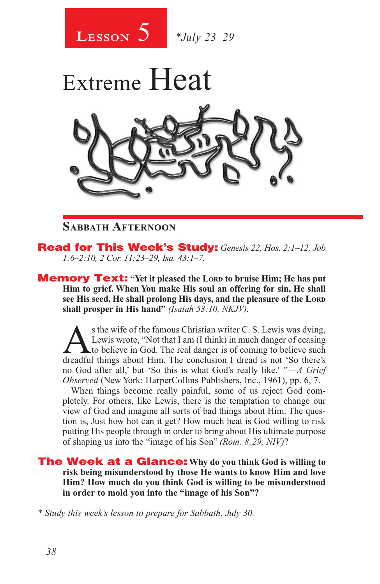



### **Sabbath Afternoon**

Read for This Week's Study: *Genesis 22, Hos. 2:1–12, Job 1:6–2:10, 2 Cor. 11:23–29, Isa. 43:1–7.*

**Memory Text:** "Yet it pleased the LORD to bruise Him; He has put **Him to grief. When You make His soul an offering for sin, He shall see His seed, He shall prolong His days, and the pleasure of the Lord shall prosper in His hand"** *(Isaiah 53:10, NKJV).* 

s the wife of the famous Christian writer C. S. Lewis was dying,<br>Lewis wrote, "Not that I am (I think) in much danger of ceasing<br>to believe in God. The real danger is of coming to believe such<br>dreadful things about Him. Th Lewis wrote, "Not that I am (I think) in much danger of ceasing Lto believe in God. The real danger is of coming to believe such dreadful things about Him. The conclusion I dread is not 'So there's no God after all,' but 'So this is what God's really like.' "—*A Grief Observed* (New York: HarperCollins Publishers, Inc., 1961), pp. 6, 7.

When things become really painful, some of us reject God completely. For others, like Lewis, there is the temptation to change our view of God and imagine all sorts of bad things about Him. The question is, Just how hot can it get? How much heat is God willing to risk putting His people through in order to bring about His ultimate purpose of shaping us into the "image of his Son" *(Rom. 8:29, NIV)*?

The Week at a Glance: **Why do you think God is willing to risk being misunderstood by those He wants to know Him and love Him? How much do you think God is willing to be misunderstood in order to mold you into the "image of his Son"?**

*\* Study this week's lesson to prepare for Sabbath, July 30.*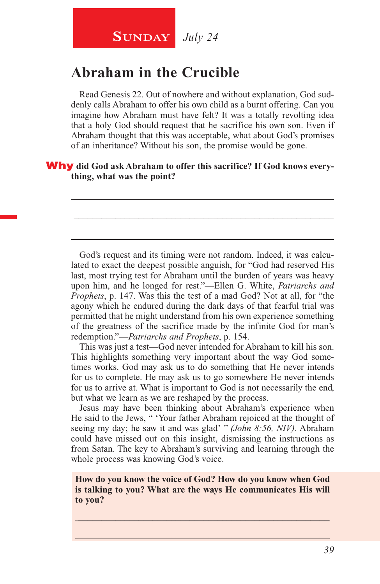## **SUNDAY** July 24

## **Abraham in the Crucible**

Read Genesis 22. Out of nowhere and without explanation, God suddenly calls Abraham to offer his own child as a burnt offering. Can you imagine how Abraham must have felt? It was a totally revolting idea that a holy God should request that he sacrifice his own son. Even if Abraham thought that this was acceptable, what about God's promises of an inheritance? Without his son, the promise would be gone.

\_\_\_\_\_\_\_\_\_\_\_\_\_\_\_\_\_\_\_\_\_\_\_\_\_\_\_\_\_\_\_\_\_\_\_\_\_\_\_\_\_\_\_\_\_\_\_\_\_\_\_\_\_\_\_\_

\_\_\_\_\_\_\_\_\_\_\_\_\_\_\_\_\_\_\_\_\_\_\_\_\_\_\_\_\_\_\_\_\_\_\_\_\_\_\_\_\_\_\_\_\_\_\_\_\_\_\_\_\_\_\_\_

\_\_\_\_\_\_\_\_\_\_\_\_\_\_\_\_\_\_\_\_\_\_\_\_\_\_\_\_\_\_\_\_\_\_\_\_\_\_\_\_\_\_\_\_\_\_\_\_\_\_\_\_\_\_\_\_

#### Why **did God ask Abraham to offer this sacrifice? If God knows everything, what was the point?**

God's request and its timing were not random. Indeed, it was calculated to exact the deepest possible anguish, for "God had reserved His last, most trying test for Abraham until the burden of years was heavy upon him, and he longed for rest."—Ellen G. White, *Patriarchs and Prophets*, p. 147. Was this the test of a mad God? Not at all, for "the agony which he endured during the dark days of that fearful trial was permitted that he might understand from his own experience something of the greatness of the sacrifice made by the infinite God for man's redemption."—*Patriarchs and Prophets*, p. 154.

This was just a test—God never intended for Abraham to kill his son. This highlights something very important about the way God sometimes works. God may ask us to do something that He never intends for us to complete. He may ask us to go somewhere He never intends for us to arrive at. What is important to God is not necessarily the end, but what we learn as we are reshaped by the process.

Jesus may have been thinking about Abraham's experience when He said to the Jews, " 'Your father Abraham rejoiced at the thought of seeing my day; he saw it and was glad' " *(John 8:56, NIV)*. Abraham could have missed out on this insight, dismissing the instructions as from Satan. The key to Abraham's surviving and learning through the whole process was knowing God's voice.

**How do you know the voice of God? How do you know when God is talking to you? What are the ways He communicates His will to you?**

 $\_$  , and the set of the set of the set of the set of the set of the set of the set of the set of the set of the set of the set of the set of the set of the set of the set of the set of the set of the set of the set of th  $\_$  , and the set of the set of the set of the set of the set of the set of the set of the set of the set of the set of the set of the set of the set of the set of the set of the set of the set of the set of the set of th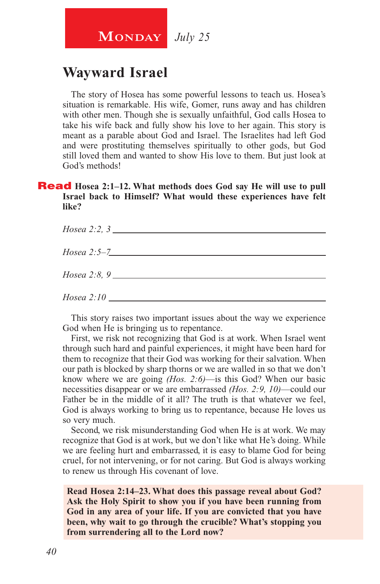## **MONDAY** July 25

## **Wayward Israel**

The story of Hosea has some powerful lessons to teach us. Hosea's situation is remarkable. His wife, Gomer, runs away and has children with other men. Though she is sexually unfaithful, God calls Hosea to take his wife back and fully show his love to her again. This story is meant as a parable about God and Israel. The Israelites had left God and were prostituting themselves spiritually to other gods, but God still loved them and wanted to show His love to them. But just look at God's methods!

#### **Read** Hosea 2:1–12. What methods does God say He will use to pull **Israel back to Himself? What would these experiences have felt like?**

| Hosea 2:2, 3  |
|---------------|
| $Hosea 2:5-7$ |
|               |
|               |

This story raises two important issues about the way we experience God when He is bringing us to repentance.

First, we risk not recognizing that God is at work. When Israel went through such hard and painful experiences, it might have been hard for them to recognize that their God was working for their salvation. When our path is blocked by sharp thorns or we are walled in so that we don't know where we are going *(Hos. 2:6)*—is this God? When our basic necessities disappear or we are embarrassed *(Hos. 2:9, 10)*—could our Father be in the middle of it all? The truth is that whatever we feel, God is always working to bring us to repentance, because He loves us so very much.

Second, we risk misunderstanding God when He is at work. We may recognize that God is at work, but we don't like what He's doing. While we are feeling hurt and embarrassed, it is easy to blame God for being cruel, for not intervening, or for not caring. But God is always working to renew us through His covenant of love.

**Read Hosea 2:14–23. What does this passage reveal about God? Ask the Holy Spirit to show you if you have been running from God in any area of your life. If you are convicted that you have been, why wait to go through the crucible? What's stopping you from surrendering all to the Lord now?**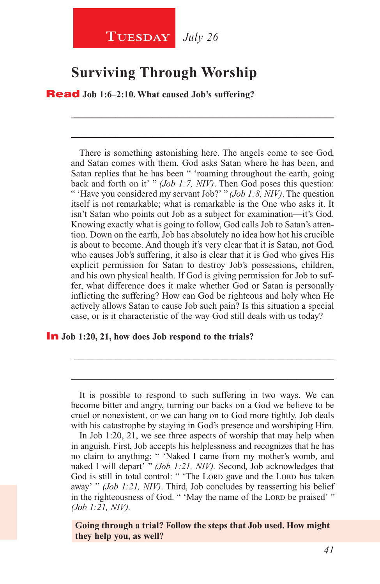## **TUESDAY** July 26

## **Surviving Through Worship**

Read **Job 1:6–2:10. What caused Job's suffering?**

There is something astonishing here. The angels come to see God, and Satan comes with them. God asks Satan where he has been, and Satan replies that he has been " 'roaming throughout the earth, going back and forth on it' " *(Job 1:7, NIV)*. Then God poses this question: " 'Have you considered my servant Job?' " *(Job 1:8, NIV)*. The question itself is not remarkable; what is remarkable is the One who asks it. It isn't Satan who points out Job as a subject for examination—it's God. Knowing exactly what is going to follow, God calls Job to Satan's attention. Down on the earth, Job has absolutely no idea how hot his crucible is about to become. And though it's very clear that it is Satan, not God, who causes Job's suffering, it also is clear that it is God who gives His explicit permission for Satan to destroy Job's possessions, children, and his own physical health. If God is giving permission for Job to suffer, what difference does it make whether God or Satan is personally inflicting the suffering? How can God be righteous and holy when He actively allows Satan to cause Job such pain? Is this situation a special case, or is it characteristic of the way God still deals with us today?

\_\_\_\_\_\_\_\_\_\_\_\_\_\_\_\_\_\_\_\_\_\_\_\_\_\_\_\_\_\_\_\_\_\_\_\_\_\_\_\_\_\_\_\_\_\_\_\_\_\_\_\_\_\_\_\_

\_\_\_\_\_\_\_\_\_\_\_\_\_\_\_\_\_\_\_\_\_\_\_\_\_\_\_\_\_\_\_\_\_\_\_\_\_\_\_\_\_\_\_\_\_\_\_\_\_\_\_\_\_\_\_\_

#### In **Job 1:20, 21, how does Job respond to the trials?**

\_\_\_\_\_\_\_\_\_\_\_\_\_\_\_\_\_\_\_\_\_\_\_\_\_\_\_\_\_\_\_\_\_\_\_\_\_\_\_\_\_\_\_\_\_\_\_\_\_\_\_\_\_\_\_\_

\_\_\_\_\_\_\_\_\_\_\_\_\_\_\_\_\_\_\_\_\_\_\_\_\_\_\_\_\_\_\_\_\_\_\_\_\_\_\_\_\_\_\_\_\_\_\_\_\_\_\_\_\_\_\_\_

In Job 1:20, 21, we see three aspects of worship that may help when in anguish. First, Job accepts his helplessness and recognizes that he has no claim to anything: " 'Naked I came from my mother's womb, and naked I will depart' " *(Job 1:21, NIV).* Second, Job acknowledges that God is still in total control: " 'The Lord gave and the Lord has taken away' " *(Job 1:21, NIV)*. Third, Job concludes by reasserting his belief in the righteousness of God. " 'May the name of the Lord be praised' " *(Job 1:21, NIV).*

**Going through a trial? Follow the steps that Job used. How might they help you, as well?**

It is possible to respond to such suffering in two ways. We can become bitter and angry, turning our backs on a God we believe to be cruel or nonexistent, or we can hang on to God more tightly. Job deals with his catastrophe by staying in God's presence and worshiping Him.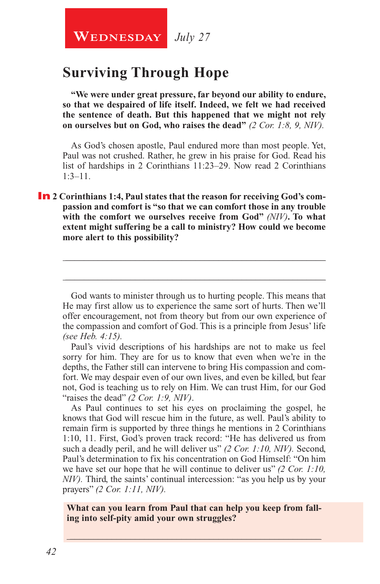## **Surviving Through Hope**

**"We were under great pressure, far beyond our ability to endure, so that we despaired of life itself. Indeed, we felt we had received the sentence of death. But this happened that we might not rely on ourselves but on God, who raises the dead"** *(2 Cor. 1:8, 9, NIV).*

As God's chosen apostle, Paul endured more than most people. Yet, Paul was not crushed. Rather, he grew in his praise for God. Read his list of hardships in 2 Corinthians 11:23–29. Now read 2 Corinthians 1:3–11.

**In** 2 Corinthians 1:4, Paul states that the reason for receiving God's com**passion and comfort is "so that we can comfort those in any trouble with the comfort we ourselves receive from God"** *(NIV)***. To what extent might suffering be a call to ministry? How could we become more alert to this possibility?**

God wants to minister through us to hurting people. This means that He may first allow us to experience the same sort of hurts. Then we'll offer encouragement, not from theory but from our own experience of the compassion and comfort of God. This is a principle from Jesus' life *(see Heb. 4:15).*

\_\_\_\_\_\_\_\_\_\_\_\_\_\_\_\_\_\_\_\_\_\_\_\_\_\_\_\_\_\_\_\_\_\_\_\_\_\_\_\_\_\_\_\_\_\_\_\_\_\_\_\_\_\_\_\_

\_\_\_\_\_\_\_\_\_\_\_\_\_\_\_\_\_\_\_\_\_\_\_\_\_\_\_\_\_\_\_\_\_\_\_\_\_\_\_\_\_\_\_\_\_\_\_\_\_\_\_\_\_\_\_\_

Paul's vivid descriptions of his hardships are not to make us feel sorry for him. They are for us to know that even when we're in the depths, the Father still can intervene to bring His compassion and comfort. We may despair even of our own lives, and even be killed, but fear not, God is teaching us to rely on Him. We can trust Him, for our God "raises the dead" *(2 Cor. 1:9, NIV)*.

As Paul continues to set his eyes on proclaiming the gospel, he knows that God will rescue him in the future, as well. Paul's ability to remain firm is supported by three things he mentions in 2 Corinthians 1:10, 11. First, God's proven track record: "He has delivered us from such a deadly peril, and he will deliver us" *(2 Cor. 1:10, NIV).* Second, Paul's determination to fix his concentration on God Himself: "On him we have set our hope that he will continue to deliver us" *(2 Cor. 1:10, NIV*). Third, the saints' continual intercession: "as you help us by your prayers" *(2 Cor. 1:11, NIV).*

**What can you learn from Paul that can help you keep from falling into self-pity amid your own struggles?**

\_\_\_\_\_\_\_\_\_\_\_\_\_\_\_\_\_\_\_\_\_\_\_\_\_\_\_\_\_\_\_\_\_\_\_\_\_\_\_\_\_\_\_\_\_\_\_\_\_\_\_\_\_\_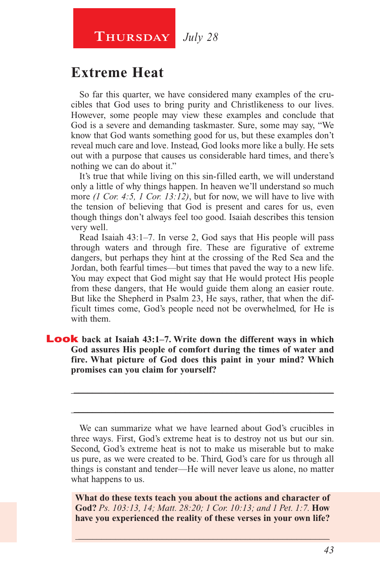## **Thursday** *July 28*

## **Extreme Heat**

So far this quarter, we have considered many examples of the crucibles that God uses to bring purity and Christlikeness to our lives. However, some people may view these examples and conclude that God is a severe and demanding taskmaster. Sure, some may say, "We know that God wants something good for us, but these examples don't reveal much care and love. Instead, God looks more like a bully. He sets out with a purpose that causes us considerable hard times, and there's nothing we can do about it."

It's true that while living on this sin-filled earth, we will understand only a little of why things happen. In heaven we'll understand so much more *(1 Cor. 4:5, 1 Cor. 13:12)*, but for now, we will have to live with the tension of believing that God is present and cares for us, even though things don't always feel too good. Isaiah describes this tension very well.

Read Isaiah 43:1–7. In verse 2, God says that His people will pass through waters and through fire. These are figurative of extreme dangers, but perhaps they hint at the crossing of the Red Sea and the Jordan, both fearful times—but times that paved the way to a new life. You may expect that God might say that He would protect His people from these dangers, that He would guide them along an easier route. But like the Shepherd in Psalm 23, He says, rather, that when the difficult times come, God's people need not be overwhelmed, for He is with them.

#### Look **back at Isaiah 43:1–7. Write down the different ways in which God assures His people of comfort during the times of water and fire. What picture of God does this paint in your mind? Which promises can you claim for yourself?**

We can summarize what we have learned about God's crucibles in three ways. First, God's extreme heat is to destroy not us but our sin. Second, God's extreme heat is not to make us miserable but to make us pure, as we were created to be. Third, God's care for us through all things is constant and tender—He will never leave us alone, no matter what happens to us.

\_\_\_\_\_\_\_\_\_\_\_\_\_\_\_\_\_\_\_\_\_\_\_\_\_\_\_\_\_\_\_\_\_\_\_\_\_\_\_\_\_\_\_\_\_\_\_\_\_\_\_\_\_\_\_\_

\_\_\_\_\_\_\_\_\_\_\_\_\_\_\_\_\_\_\_\_\_\_\_\_\_\_\_\_\_\_\_\_\_\_\_\_\_\_\_\_\_\_\_\_\_\_\_\_\_\_\_\_\_\_\_\_

**What do these texts teach you about the actions and character of God?** *Ps. 103:13, 14; Matt. 28:20; 1 Cor. 10:13; and 1 Pet. 1:7.* **How have you experienced the reality of these verses in your own life?**

\_\_\_\_\_\_\_\_\_\_\_\_\_\_\_\_\_\_\_\_\_\_\_\_\_\_\_\_\_\_\_\_\_\_\_\_\_\_\_\_\_\_\_\_\_\_\_\_\_\_\_\_\_\_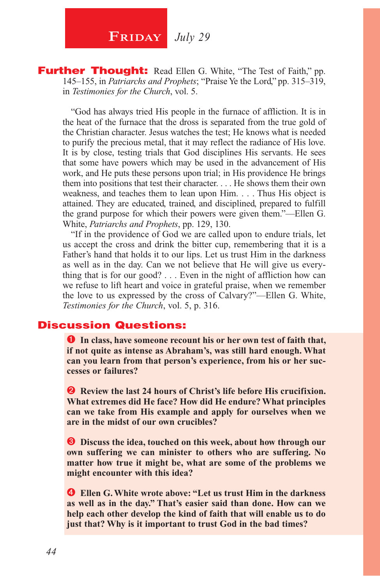## **FRIDAY** July 29

**Further Thought:** Read Ellen G. White, "The Test of Faith," pp. 145–155, in *Patriarchs and Prophets*; "Praise Ye the Lord," pp. 315–319, in *Testimonies for the Church*, vol. 5.

"God has always tried His people in the furnace of affliction. It is in the heat of the furnace that the dross is separated from the true gold of the Christian character. Jesus watches the test; He knows what is needed to purify the precious metal, that it may reflect the radiance of His love. It is by close, testing trials that God disciplines His servants. He sees that some have powers which may be used in the advancement of His work, and He puts these persons upon trial; in His providence He brings them into positions that test their character. . . . He shows them their own weakness, and teaches them to lean upon Him. . . . Thus His object is attained. They are educated, trained, and disciplined, prepared to fulfill the grand purpose for which their powers were given them."—Ellen G. White, *Patriarchs and Prophets*, pp. 129, 130.

"If in the providence of God we are called upon to endure trials, let us accept the cross and drink the bitter cup, remembering that it is a Father's hand that holds it to our lips. Let us trust Him in the darkness as well as in the day. Can we not believe that He will give us everything that is for our good? . . . Even in the night of affliction how can we refuse to lift heart and voice in grateful praise, when we remember the love to us expressed by the cross of Calvary?"—Ellen G. White, *Testimonies for the Church*, vol. 5, p. 316.

#### Discussion Questions:

**In class, have someone recount his or her own test of faith that, if not quite as intense as Abraham's, was still hard enough. What can you learn from that person's experience, from his or her successes or failures?**

**2** Review the last 24 hours of Christ's life before His crucifixion. **What extremes did He face? How did He endure? What principles can we take from His example and apply for ourselves when we are in the midst of our own crucibles?**

 $\bullet$  Discuss the idea, touched on this week, about how through our **own suffering we can minister to others who are suffering. No matter how true it might be, what are some of the problems we might encounter with this idea?**

 **Ellen G. White wrote above: "Let us trust Him in the darkness as well as in the day." That's easier said than done. How can we help each other develop the kind of faith that will enable us to do just that? Why is it important to trust God in the bad times?**